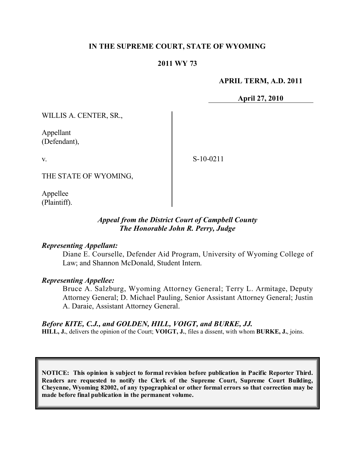# **IN THE SUPREME COURT, STATE OF WYOMING**

## **2011 WY 73**

### **APRIL TERM, A.D. 2011**

**April 27, 2010**

WILLIS A. CENTER, SR.,

Appellant (Defendant),

v.

S-10-0211

THE STATE OF WYOMING,

Appellee (Plaintiff).

# *Appeal from the District Court of Campbell County The Honorable John R. Perry, Judge*

#### *Representing Appellant:*

Diane E. Courselle, Defender Aid Program, University of Wyoming College of Law; and Shannon McDonald, Student Intern.

### *Representing Appellee:*

Bruce A. Salzburg, Wyoming Attorney General; Terry L. Armitage, Deputy Attorney General; D. Michael Pauling, Senior Assistant Attorney General; Justin A. Daraie, Assistant Attorney General.

#### *Before KITE, C.J., and GOLDEN, HILL, VOIGT, and BURKE, JJ.*

**HILL, J.**, delivers the opinion of the Court; **VOIGT, J.**, files a dissent, with whom **BURKE, J.**, joins.

**NOTICE: This opinion is subject to formal revision before publication in Pacific Reporter Third. Readers are requested to notify the Clerk of the Supreme Court, Supreme Court Building, Cheyenne, Wyoming 82002, of any typographical or other formal errors so that correction may be made before final publication in the permanent volume.**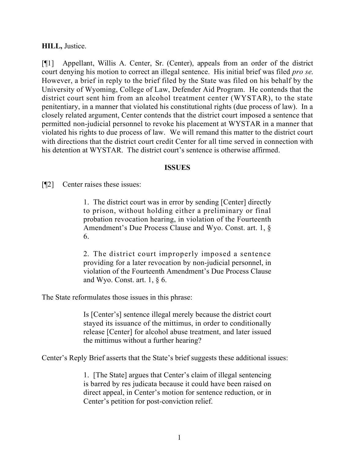## **HILL,** Justice.

[¶1] Appellant, Willis A. Center, Sr. (Center), appeals from an order of the district court denying his motion to correct an illegal sentence. His initial brief was filed *pro se*. However, a brief in reply to the brief filed by the State was filed on his behalf by the University of Wyoming, College of Law, Defender Aid Program. He contends that the district court sent him from an alcohol treatment center (WYSTAR), to the state penitentiary, in a manner that violated his constitutional rights (due process of law). In a closely related argument, Center contends that the district court imposed a sentence that permitted non-judicial personnel to revoke his placement at WYSTAR in a manner that violated his rights to due process of law. We will remand this matter to the district court with directions that the district court credit Center for all time served in connection with his detention at WYSTAR. The district court's sentence is otherwise affirmed.

## **ISSUES**

[¶2] Center raises these issues:

1. The district court was in error by sending [Center] directly to prison, without holding either a preliminary or final probation revocation hearing, in violation of the Fourteenth Amendment's Due Process Clause and Wyo. Const. art. 1, § 6.

2. The district court improperly imposed a sentence providing for a later revocation by non-judicial personnel, in violation of the Fourteenth Amendment's Due Process Clause and Wyo. Const. art.  $1, § 6$ .

The State reformulates those issues in this phrase:

Is [Center's] sentence illegal merely because the district court stayed its issuance of the mittimus, in order to conditionally release [Center] for alcohol abuse treatment, and later issued the mittimus without a further hearing?

Center's Reply Brief asserts that the State's brief suggests these additional issues:

1. [The State] argues that Center's claim of illegal sentencing is barred by res judicata because it could have been raised on direct appeal, in Center's motion for sentence reduction, or in Center's petition for post-conviction relief.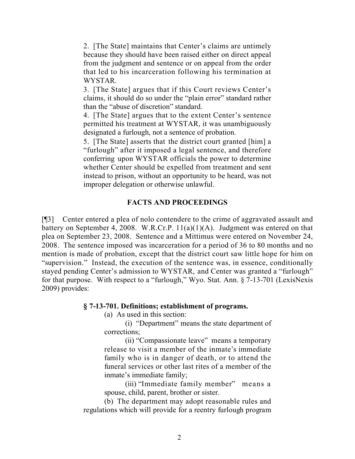2. [The State] maintains that Center's claims are untimely because they should have been raised either on direct appeal from the judgment and sentence or on appeal from the order that led to his incarceration following his termination at **WYSTAR** 

3. [The State] argues that if this Court reviews Center's claims, it should do so under the "plain error" standard rather than the "abuse of discretion" standard.

4. [The State] argues that to the extent Center's sentence permitted his treatment at WYSTAR, it was unambiguously designated a furlough, not a sentence of probation.

5. [The State] asserts that the district court granted [him] a "furlough" after it imposed a legal sentence, and therefore conferring upon WYSTAR officials the power to determine whether Center should be expelled from treatment and sent instead to prison, without an opportunity to be heard, was not improper delegation or otherwise unlawful.

# **FACTS AND PROCEEDINGS**

[¶3] Center entered a plea of nolo contendere to the crime of aggravated assault and battery on September 4, 2008. W.R.Cr.P. 11(a)(1)(A). Judgment was entered on that plea on September 23, 2008. Sentence and a Mittimus were entered on November 24, 2008. The sentence imposed was incarceration for a period of 36 to 80 months and no mention is made of probation, except that the district court saw little hope for him on "supervision." Instead, the execution of the sentence was, in essence, conditionally stayed pending Center's admission to WYSTAR, and Center was granted a "furlough" for that purpose. With respect to a "furlough," Wyo. Stat. Ann. § 7-13-701 (LexisNexis 2009) provides:

# **§ 7-13-701. Definitions; establishment of programs.**

(a) As used in this section:

(i) "Department" means the state department of corrections;

(ii) "Compassionate leave" means a temporary release to visit a member of the inmate's immediate family who is in danger of death, or to attend the funeral services or other last rites of a member of the inmate's immediate family;

(iii) "Immediate family member" means a spouse, child, parent, brother or sister.

(b) The department may adopt reasonable rules and regulations which will provide for a reentry furlough program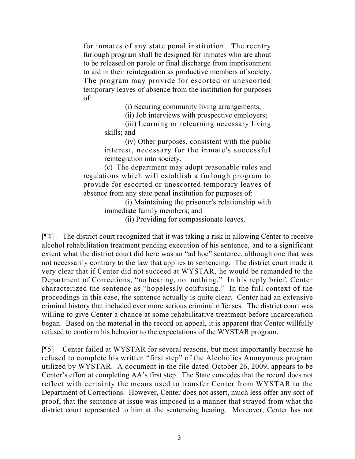for inmates of any state penal institution. The reentry furlough program shall be designed for inmates who are about to be released on parole or final discharge from imprisonment to aid in their reintegration as productive members of society. The program may provide for escorted or unescorted temporary leaves of absence from the institution for purposes of:

(i) Securing community living arrangements;

(ii) Job interviews with prospective employers;

(iii) Learning or relearning necessary living skills; and

(iv) Other purposes, consistent with the public interest, necessary for the inmate's successful reintegration into society.

(c) The department may adopt reasonable rules and regulations which will establish a furlough program to provide for escorted or unescorted temporary leaves of absence from any state penal institution for purposes of:

> (i) Maintaining the prisoner's relationship with immediate family members; and

(ii) Providing for compassionate leaves.

[¶4] The district court recognized that it was taking a risk in allowing Center to receive alcohol rehabilitation treatment pending execution of his sentence, and to a significant extent what the district court did here was an "ad hoc" sentence, although one that was not necessarily contrary to the law that applies to sentencing. The district court made it very clear that if Center did not succeed at WYSTAR, he would be remanded to the Department of Corrections, "no hearing, no nothing." In his reply brief, Center characterized the sentence as "hopelessly confusing." In the full context of the proceedings in this case, the sentence actually is quite clear. Center had an extensive criminal history that included ever more serious criminal offenses. The district court was willing to give Center a chance at some rehabilitative treatment before incarceration began. Based on the material in the record on appeal, it is apparent that Center willfully refused to conform his behavior to the expectations of the WYSTAR program.

[¶5] Center failed at WYSTAR for several reasons, but most importantly because he refused to complete his written "first step" of the Alcoholics Anonymous program utilized by WYSTAR. A document in the file dated October 26, 2009, appears to be Center's effort at completing AA's first step. The State concedes that the record does not reflect with certainty the means used to transfer Center from WYSTAR to the Department of Corrections. However, Center does not assert, much less offer any sort of proof, that the sentence at issue was imposed in a manner that strayed from what the district court represented to him at the sentencing hearing. Moreover, Center has not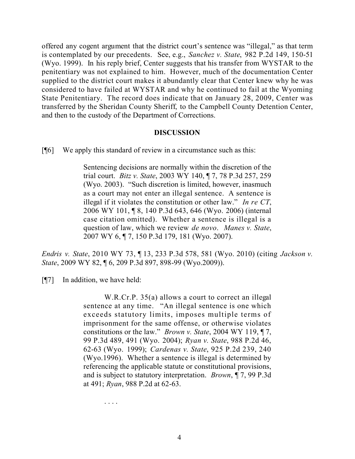offered any cogent argument that the district court's sentence was "illegal," as that term is contemplated by our precedents. See, e.g., *Sanchez v. State*, 982 P.2d 149, 150-51 (Wyo. 1999). In his reply brief, Center suggests that his transfer from WYSTAR to the penitentiary was not explained to him. However, much of the documentation Center supplied to the district court makes it abundantly clear that Center knew why he was considered to have failed at WYSTAR and why he continued to fail at the Wyoming State Penitentiary. The record does indicate that on January 28, 2009, Center was transferred by the Sheridan County Sheriff, to the Campbell County Detention Center, and then to the custody of the Department of Corrections.

## **DISCUSSION**

 $[\n{\textdegree} \,]$  We apply this standard of review in a circumstance such as this:

Sentencing decisions are normally within the discretion of the trial court. *Bitz v. State*, 2003 WY 140, ¶ 7, 78 P.3d 257, 259 (Wyo. 2003). "Such discretion is limited, however, inasmuch as a court may not enter an illegal sentence. A sentence is illegal if it violates the constitution or other law." *In re CT*, 2006 WY 101, ¶ 8, 140 P.3d 643, 646 (Wyo. 2006) (internal case citation omitted). Whether a sentence is illegal is a question of law, which we review *de novo*. *Manes v. State*, 2007 WY 6, ¶ 7, 150 P.3d 179, 181 (Wyo. 2007).

*Endris v. State*, 2010 WY 73, ¶ 13, 233 P.3d 578, 581 (Wyo. 2010) (citing *Jackson v. State*, 2009 WY 82, ¶ 6, 209 P.3d 897, 898-99 (Wyo.2009)).

[¶7] In addition, we have held:

W.R.Cr.P. 35(a) allows a court to correct an illegal sentence at any time. "An illegal sentence is one which exceeds statutory limits, imposes multiple terms of imprisonment for the same offense, or otherwise violates constitutions or the law." *Brown v. State*, 2004 WY 119, ¶ 7, 99 P.3d 489, 491 (Wyo. 2004); *Ryan v. State*, 988 P.2d 46, 62-63 (Wyo. 1999); *Cardenas v. State*, 925 P.2d 239, 240 (Wyo.1996). Whether a sentence is illegal is determined by referencing the applicable statute or constitutional provisions, and is subject to statutory interpretation. *Brown*, ¶ 7, 99 P.3d at 491; *Ryan*, 988 P.2d at 62-63.

. . . .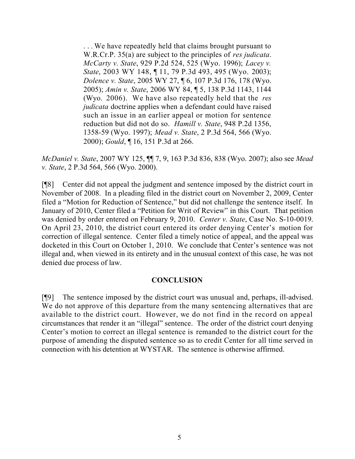. . . We have repeatedly held that claims brought pursuant to W.R.Cr.P. 35(a) are subject to the principles of *res judicata*. *McCarty v. State*, 929 P.2d 524, 525 (Wyo. 1996); *Lacey v. State*, 2003 WY 148, ¶ 11, 79 P.3d 493, 495 (Wyo. 2003); *Dolence v. State*, 2005 WY 27, ¶ 6, 107 P.3d 176, 178 (Wyo. 2005); *Amin v. State*, 2006 WY 84, ¶ 5, 138 P.3d 1143, 1144 (Wyo. 2006). We have also repeatedly held that the *res judicata* doctrine applies when a defendant could have raised such an issue in an earlier appeal or motion for sentence reduction but did not do so. *Hamill v. State*, 948 P.2d 1356, 1358-59 (Wyo. 1997); *Mead v. State*, 2 P.3d 564, 566 (Wyo. 2000); *Gould*, ¶ 16, 151 P.3d at 266.

*McDaniel v. State*, 2007 WY 125, ¶¶ 7, 9, 163 P.3d 836, 838 (Wyo. 2007); also see *Mead v. State*, 2 P.3d 564, 566 (Wyo. 2000).

[¶8] Center did not appeal the judgment and sentence imposed by the district court in November of 2008. In a pleading filed in the district court on November 2, 2009, Center filed a "Motion for Reduction of Sentence," but did not challenge the sentence itself. In January of 2010, Center filed a "Petition for Writ of Review" in this Court. That petition was denied by order entered on February 9, 2010. *Center v. State*, Case No. S-10-0019. On April 23, 2010, the district court entered its order denying Center's motion for correction of illegal sentence. Center filed a timely notice of appeal, and the appeal was docketed in this Court on October 1, 2010. We conclude that Center's sentence was not illegal and, when viewed in its entirety and in the unusual context of this case, he was not denied due process of law.

## **CONCLUSION**

[¶9] The sentence imposed by the district court was unusual and, perhaps, ill-advised. We do not approve of this departure from the many sentencing alternatives that are available to the district court. However, we do not find in the record on appeal circumstances that render it an "illegal" sentence. The order of the district court denying Center's motion to correct an illegal sentence is remanded to the district court for the purpose of amending the disputed sentence so as to credit Center for all time served in connection with his detention at WYSTAR. The sentence is otherwise affirmed.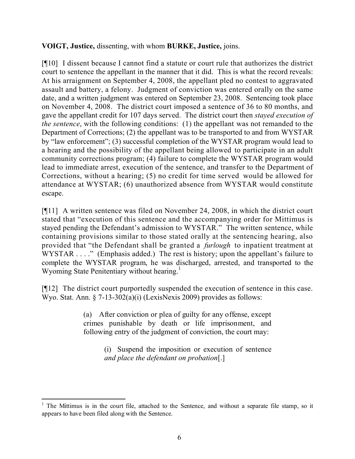# **VOIGT, Justice,** dissenting, with whom **BURKE, Justice,** joins.

[¶10] I dissent because I cannot find a statute or court rule that authorizes the district court to sentence the appellant in the manner that it did. This is what the record reveals: At his arraignment on September 4, 2008, the appellant pled no contest to aggravated assault and battery, a felony. Judgment of conviction was entered orally on the same date, and a written judgment was entered on September 23, 2008. Sentencing took place on November 4, 2008. The district court imposed a sentence of 36 to 80 months, and gave the appellant credit for 107 days served. The district court then *stayed execution of the sentence*, with the following conditions: (1) the appellant was not remanded to the Department of Corrections; (2) the appellant was to be transported to and from WYSTAR by "law enforcement"; (3) successful completion of the WYSTAR program would lead to a hearing and the possibility of the appellant being allowed to participate in an adult community corrections program; (4) failure to complete the WYSTAR program would lead to immediate arrest, execution of the sentence, and transfer to the Department of Corrections, without a hearing; (5) no credit for time served would be allowed for attendance at WYSTAR; (6) unauthorized absence from WYSTAR would constitute escape.

[¶11] A written sentence was filed on November 24, 2008, in which the district court stated that "execution of this sentence and the accompanying order for Mittimus is stayed pending the Defendant's admission to WYSTAR." The written sentence, while containing provisions similar to those stated orally at the sentencing hearing, also provided that "the Defendant shall be granted a *furlough* to inpatient treatment at WYSTAR . . . ." (Emphasis added.) The rest is history; upon the appellant's failure to complete the WYSTAR program, he was discharged, arrested, and transported to the Wyoming State Penitentiary without hearing.<sup>1</sup>

[¶12] The district court purportedly suspended the execution of sentence in this case. Wyo. Stat. Ann.  $\S$  7-13-302(a)(i) (LexisNexis 2009) provides as follows:

> (a) After conviction or plea of guilty for any offense, except crimes punishable by death or life imprisonment, and following entry of the judgment of conviction, the court may:

> > (i) Suspend the imposition or execution of sentence *and place the defendant on probation*[.]

 $\overline{a}$ 

 $1$  The Mittimus is in the court file, attached to the Sentence, and without a separate file stamp, so it appears to have been filed along with the Sentence.